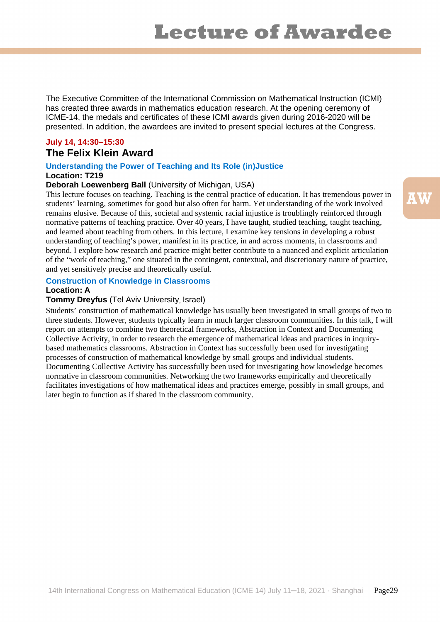The Executive Committee of the International Commission on Mathematical Instruction (ICMI) has created three awards in mathematics education research. At the opening ceremony of ICME-14, the medals and certificates of these ICMI awards given during 2016-2020 will be presented. In addition, the awardees are invited to present special lectures at the Congress.

# **July 14, 14:30–15:30 The Felix Klein Award**

#### **Understanding the Power of Teaching and Its Role (in)Justice Location: T219**

## **Deborah Loewenberg Ball** (University of Michigan, USA)

This lecture focuses on teaching. Teaching is the central practice of education. It has tremendous power in students' learning, sometimes for good but also often for harm. Yet understanding of the work involved remains elusive. Because of this, societal and systemic racial injustice is troublingly reinforced through normative patterns of teaching practice. Over 40 years, I have taught, studied teaching, taught teaching, and learned about teaching from others. In this lecture, I examine key tensions in developing a robust understanding of teaching's power, manifest in its practice, in and across moments, in classrooms and beyond. I explore how research and practice might better contribute to a nuanced and explicit articulation of the "work of teaching," one situated in the contingent, contextual, and discretionary nature of practice, and yet sensitively precise and theoretically useful.

#### **Construction of Knowledge in Classrooms**

#### **Location: A**

### **Tommy Dreyfus** (Tel Aviv University, Israel)

Students' construction of mathematical knowledge has usually been investigated in small groups of two to three students. However, students typically learn in much larger classroom communities. In this talk, I will report on attempts to combine two theoretical frameworks, Abstraction in Context and Documenting Collective Activity, in order to research the emergence of mathematical ideas and practices in inquirybased mathematics classrooms. Abstraction in Context has successfully been used for investigating processes of construction of mathematical knowledge by small groups and individual students. Documenting Collective Activity has successfully been used for investigating how knowledge becomes normative in classroom communities. Networking the two frameworks empirically and theoretically facilitates investigations of how mathematical ideas and practices emerge, possibly in small groups, and later begin to function as if shared in the classroom community.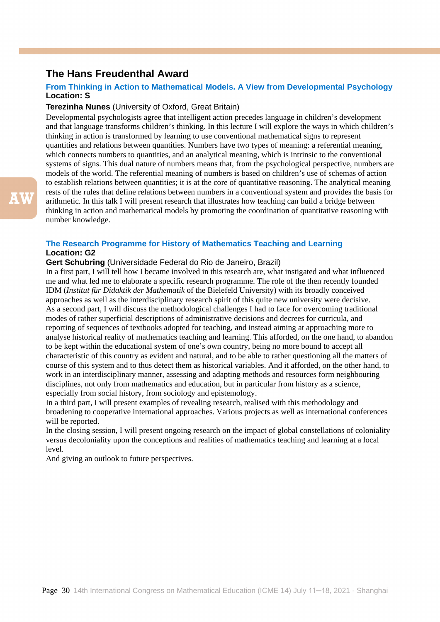# **The Hans Freudenthal Award**

### **From Thinking in Action to Mathematical Models. A View from Developmental Psychology Location: S**

#### **Terezinha Nunes** (University of Oxford, Great Britain)

Developmental psychologists agree that intelligent action precedes language in children's development and that language transforms children's thinking. In this lecture I will explore the ways in which children's thinking in action is transformed by learning to use conventional mathematical signs to represent quantities and relations between quantities. Numbers have two types of meaning: a referential meaning, which connects numbers to quantities, and an analytical meaning, which is intrinsic to the conventional systems of signs. This dual nature of numbers means that, from the psychological perspective, numbers are models of the world. The referential meaning of numbers is based on children's use of schemas of action to establish relations between quantities; it is at the core of quantitative reasoning. The analytical meaning rests of the rules that define relations between numbers in a conventional system and provides the basis for arithmetic. In this talk I will present research that illustrates how teaching can build a bridge between thinking in action and mathematical models by promoting the coordination of quantitative reasoning with number knowledge.

#### **The Research Programme for History of Mathematics Teaching and Learning Location: G2**

#### **Gert Schubring** (Universidade Federal do Rio de Janeiro, Brazil)

In a first part, I will tell how I became involved in this research are, what instigated and what influenced me and what led me to elaborate a specific research programme. The role of the then recently founded IDM (*Institut für Didaktik der Mathematik* of the Bielefeld University) with its broadly conceived approaches as well as the interdisciplinary research spirit of this quite new university were decisive. As a second part, I will discuss the methodological challenges I had to face for overcoming traditional modes of rather superficial descriptions of administrative decisions and decrees for curricula, and reporting of sequences of textbooks adopted for teaching, and instead aiming at approaching more to analyse historical reality of mathematics teaching and learning. This afforded, on the one hand, to abandon to be kept within the educational system of one's own country, being no more bound to accept all characteristic of this country as evident and natural, and to be able to rather questioning all the matters of course of this system and to thus detect them as historical variables. And it afforded, on the other hand, to work in an interdisciplinary manner, assessing and adapting methods and resources form neighbouring disciplines, not only from mathematics and education, but in particular from history as a science, especially from social history, from sociology and epistemology.

In a third part, I will present examples of revealing research, realised with this methodology and broadening to cooperative international approaches. Various projects as well as international conferences will be reported.

In the closing session, I will present ongoing research on the impact of global constellations of coloniality versus decoloniality upon the conceptions and realities of mathematics teaching and learning at a local level.

And giving an outlook to future perspectives.